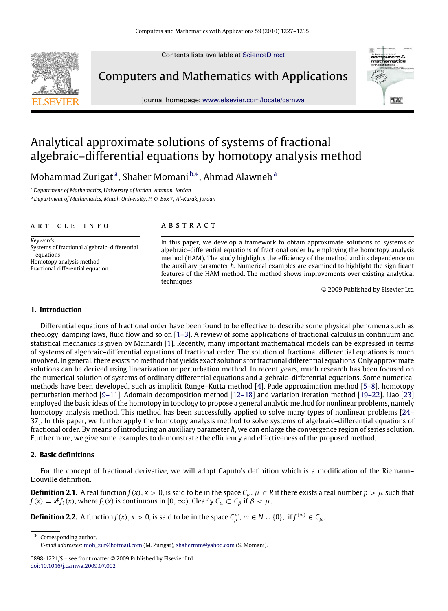Contents lists available at [ScienceDirect](http://www.elsevier.com/locate/camwa)

Computers and Mathematics with Applications

journal homepage: [www.elsevier.com/locate/camwa](http://www.elsevier.com/locate/camwa)



# Analytical approximate solutions of systems of fractional algebraic–differential equations by homotopy analysis method

Moh[a](#page-0-0)mmad Zurigat<sup>a</sup>, Shaher Momani <sup>[b,](#page-0-1)</sup>\*, Ahmad Alawneh<sup>a</sup>

<span id="page-0-0"></span><sup>a</sup> *Department of Mathematics, University of Jordan, Amman, Jordan*

<span id="page-0-1"></span><sup>b</sup> *Department of Mathematics, Mutah University, P. O. Box 7, Al-Karak, Jordan*

## a r t i c l e i n f o

*Keywords:* Systems of fractional algebraic–differential equations Homotopy analysis method Fractional differential equation

## a b s t r a c t

In this paper, we develop a framework to obtain approximate solutions to systems of algebraic–differential equations of fractional order by employing the homotopy analysis method (HAM). The study highlights the efficiency of the method and its dependence on the auxiliary parameter *h*. Numerical examples are examined to highlight the significant features of the HAM method. The method shows improvements over existing analytical techniques

© 2009 Published by Elsevier Ltd

## **1. Introduction**

Differential equations of fractional order have been found to be effective to describe some physical phenomena such as rheology, damping laws, fluid flow and so on [\[1–3\]](#page-8-0). A review of some applications of fractional calculus in continuum and statistical mechanics is given by Mainardi [\[1\]](#page-8-0). Recently, many important mathematical models can be expressed in terms of systems of algebraic–differential equations of fractional order. The solution of fractional differential equations is much involved. In general, there exists no method that yields exact solutions for fractional differential equations. Only approximate solutions can be derived using linearization or perturbation method. In recent years, much research has been focused on the numerical solution of systems of ordinary differential equations and algebraic–differential equations. Some numerical methods have been developed, such as implicit Runge–Kutta method [\[4\]](#page-8-1), Pade approximation method [\[5–8\]](#page-8-2), homotopy perturbation method [\[9–11\]](#page-8-3), Adomain decomposition method [\[12–18\]](#page-8-4) and variation iteration method [\[19–22\]](#page-8-5). Liao [\[23\]](#page-8-6) employed the basic ideas of the homotopy in topology to propose a general analytic method for nonlinear problems, namely [h](#page-8-7)omotopy analysis method. This method has been successfully applied to solve many types of nonlinear problems [\[24–](#page-8-7) [37\]](#page-8-7). In this paper, we further apply the homotopy analysis method to solve systems of algebraic–differential equations of fractional order. By means of introducing an auxiliary parameter *h*, we can enlarge the convergence region of series solution. Furthermore, we give some examples to demonstrate the efficiency and effectiveness of the proposed method.

# **2. Basic definitions**

For the concept of fractional derivative, we will adopt Caputo's definition which is a modification of the Riemann– Liouville definition.

**Definition 2.1.** A real function  $f(x)$ ,  $x > 0$ , is said to be in the space  $C_\mu$ ,  $\mu \in R$  if there exists a real number  $p > \mu$  such that  $f(x) = x^{p} f_1(x)$ , where  $f_1(x)$  is continuous in [0, ∞). Clearly  $C_{\mu} \subset C_{\beta}$  if  $\beta < \mu$ .

**Definition 2.2.** A function  $f(x)$ ,  $x > 0$ , is said to be in the space  $C_{\mu}^{m}$ ,  $m \in N \cup \{0\}$ , if  $f^{(m)} \in C_{\mu}$ .

<span id="page-0-2"></span>∗ Corresponding author. *E-mail addresses:* [moh\\_zur@hotmail.com](mailto:moh_zur@hotmail.com) (M. Zurigat), [shahermm@yahoo.com](mailto:shahermm@yahoo.com) (S. Momani).

<sup>0898-1221/\$ –</sup> see front matter © 2009 Published by Elsevier Ltd [doi:10.1016/j.camwa.2009.07.002](http://dx.doi.org/10.1016/j.camwa.2009.07.002)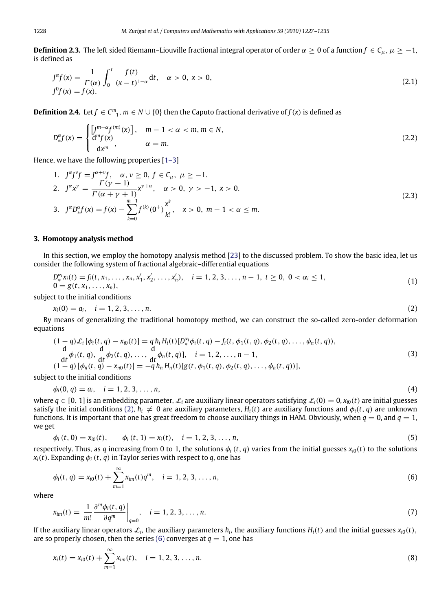**Definition 2.3.** The left sided Riemann–Liouville fractional integral operator of order  $\alpha \ge 0$  of a function  $f \in C_u$ ,  $\mu \ge -1$ , is defined as

$$
J^{\alpha}f(x) = \frac{1}{\Gamma(\alpha)} \int_0^t \frac{f(t)}{(x-t)^{1-\alpha}} dt, \quad \alpha > 0, \ x > 0,
$$
  

$$
J^0f(x) = f(x).
$$
 (2.1)

**Definition 2.4.** Let  $f \in C_{-1}^m$ ,  $m \in N \cup \{0\}$  then the Caputo fractional derivative of  $f(x)$  is defined as

$$
D_{*}^{\alpha}f(x) = \begin{cases} \left[\frac{J^{m-\alpha}f^{(m)}(x)}{\mathrm{d}x^m}\right], & m-1 < \alpha < m, m \in \mathbb{N}, \\ \frac{d^{m}f(x)}{\mathrm{d}x^m}, & \alpha = m. \end{cases}
$$
\n(2.2)

Hence, we have the following properties [\[1–3\]](#page-8-0)

1. 
$$
\int^{\alpha} \int^{y} f = \int^{\alpha + \nu} f, \quad \alpha, \nu \ge 0, \ f \in C_{\mu}, \ \mu \ge -1.
$$
  
\n2. 
$$
\int^{\alpha} x^{\gamma} = \frac{\Gamma(\gamma + 1)}{\Gamma(\alpha + \gamma + 1)} x^{\gamma + \alpha}, \quad \alpha > 0, \ \gamma > -1, \ x > 0.
$$
  
\n3. 
$$
\int^{\alpha} D_{*}^{\alpha} f(x) = f(x) - \sum_{k=0}^{m-1} f^{(k)}(0^{+}) \frac{x^{k}}{k!}, \quad x > 0, \ m-1 < \alpha \le m.
$$
 (2.3)

#### **3. Homotopy analysis method**

In this section, we employ the homotopy analysis method [\[23\]](#page-8-6) to the discussed problem. To show the basic idea, let us consider the following system of fractional algebraic–differential equations

<span id="page-1-3"></span>
$$
D_{*}^{\alpha_{i}}x_{i}(t) = f_{i}(t, x_{1},..., x_{n}, x'_{1}, x'_{2},..., x'_{n}), \quad i = 1, 2, 3, ..., n-1, t \ge 0, 0 < \alpha_{i} \le 1, 0 = g(t, x_{1},..., x_{n}),
$$
\n(1)

subject to the initial conditions

<span id="page-1-0"></span>
$$
x_i(0) = a_i, \quad i = 1, 2, 3, \dots, n. \tag{2}
$$

By means of generalizing the traditional homotopy method, we can construct the so-called zero-order deformation equations

<span id="page-1-2"></span>
$$
(1-q)\mathcal{L}_i[\phi_i(t,q) - x_{i0}(t)] = q h_i H_i(t) [D^{\alpha_i}_{*}\phi_i(t,q) - f_i(t,\phi_1(t,q),\phi_2(t,q),\dots,\phi_n(t,q)),
$$
  
\n
$$
\frac{d}{dt}\phi_1(t,q), \frac{d}{dt}\phi_2(t,q), \dots, \frac{d}{dt}\phi_n(t,q)], \quad i = 1, 2, \dots, n-1,
$$
  
\n
$$
(1-q) [\phi_n(t,q) - x_{n0}(t)] = -q h_n H_n(t) [g(t,\phi_1(t,q),\phi_2(t,q),\dots,\phi_n(t,q))],
$$
\n(3)

subject to the initial conditions

$$
\phi_i(0, q) = a_i, \quad i = 1, 2, 3, \dots, n,
$$
\n(4)

where  $q \in [0, 1]$  is an embedding parameter,  $\mathcal{L}_i$  are auxiliary linear operators satisfying  $\mathcal{L}_i(0) = 0$ ,  $x_{i0}(t)$  are initial guesses satisfy the initial conditions [\(2\),](#page-1-0)  $h_i \neq 0$  are auxiliary parameters,  $H_i(t)$  are auxiliary functions and  $\phi_i(t, q)$  are unknown functions. It is important that one has great freedom to choose auxiliary things in HAM. Obviously, when  $q = 0$ , and  $q = 1$ , we get

<span id="page-1-1"></span>
$$
\phi_i(t,0) = x_{i0}(t), \qquad \phi_i(t,1) = x_i(t), \quad i = 1, 2, 3, \dots, n,
$$
\n(5)

respectively. Thus, as *q* increasing from 0 to 1, the solutions  $\phi_i(t, q)$  varies from the initial guesses  $x_{i0}(t)$  to the solutions  $x_i(t)$ . Expanding  $\phi_i(t, q)$  in Taylor series with respect to *q*, one has

$$
\phi_i(t,q) = x_{i0}(t) + \sum_{m=1}^{\infty} x_{im}(t)q^m, \quad i = 1, 2, 3, ..., n,
$$
\n(6)

where

$$
x_{im}(t) = \frac{1}{m!} \frac{\partial^{m} \phi_{i}(t, q)}{\partial q^{m}} \bigg|_{q=0}, \quad i = 1, 2, 3, ..., n. \tag{7}
$$

If the auxiliary linear operators  $\mathcal{L}_i$ , the auxiliary parameters  $\hbar_i$ , the auxiliary functions  $H_i(t)$  and the initial guesses  $x_{i0}(t)$ , are so properly chosen, then the series [\(6\)](#page-1-1) converges at  $q = 1$ , one has

$$
x_i(t) = x_{i0}(t) + \sum_{m=1}^{\infty} x_{im}(t), \quad i = 1, 2, 3, ..., n.
$$
 (8)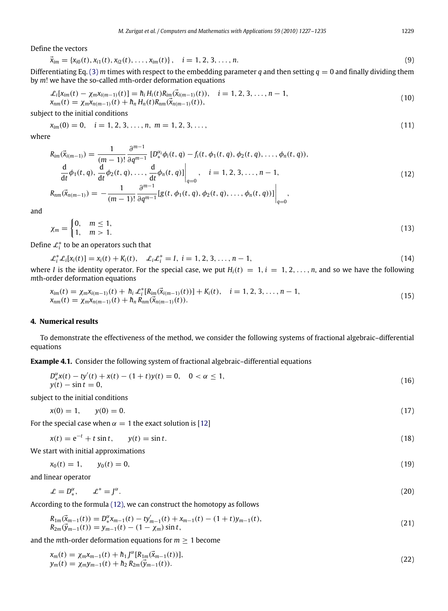Define the vectors

$$
\vec{x}_{im} = \{x_{i0}(t), x_{i1}(t), x_{i2}(t), \dots, x_{im}(t)\}, \quad i = 1, 2, 3, \dots, n.
$$
\n(9)

Differentiating Eq. [\(3\)](#page-1-2) *m* times with respect to the embedding parameter *q* and then setting  $q = 0$  and finally dividing them by *m*! we have the so-called *m*th-order deformation equations

$$
\mathcal{L}_{i}[X_{im}(t) - \chi_{m}X_{i(m-1)}(t)] = \hbar_{i}H_{i}(t)R_{im}(\vec{X}_{i(m-1)}(t)), \quad i = 1, 2, 3, ..., n-1, X_{mm}(t) = \chi_{m}X_{n(m-1)}(t) + \hbar_{n}H_{n}(t)R_{nm}(\vec{X}_{n(m-1)}(t)),
$$
\n(10)

subject to the initial conditions

$$
x_{im}(0) = 0, \quad i = 1, 2, 3, \dots, n, \ m = 1, 2, 3, \dots,
$$
\n
$$
(11)
$$

where

<span id="page-2-0"></span>
$$
R_{im}(\vec{x}_{i(m-1)}) = \frac{1}{(m-1)!} \frac{\partial^{m-1}}{\partial q^{m-1}} [D_{*}^{\alpha_i} \phi_i(t, q) - f_i(t, \phi_1(t, q), \phi_2(t, q), \dots, \phi_n(t, q)),
$$
  
\n
$$
\frac{d}{dt} \phi_1(t, q), \frac{d}{dt} \phi_2(t, q), \dots, \frac{d}{dt} \phi_n(t, q)] \Big|_{q=0}, \quad i = 1, 2, 3, \dots, n-1,
$$
  
\n
$$
R_{nm}(\vec{x}_{n(m-1)}) = -\frac{1}{(m-1)!} \frac{\partial^{m-1}}{\partial q^{m-1}} [g(t, \phi_1(t, q), \phi_2(t, q), \dots, \phi_n(t, q))] \Big|_{q=0},
$$
\n(12)

and

$$
\chi_m = \begin{cases} 0, & m \le 1, \\ 1, & m > 1. \end{cases} \tag{13}
$$

Define  $\mathcal{L}_i^*$  to be an operators such that

$$
\mathcal{L}_i^* \mathcal{L}_i[x_i(t)] = x_i(t) + K_i(t), \quad \mathcal{L}_i \mathcal{L}_i^* = I, \ i = 1, 2, 3, \dots, n - 1,
$$
\n(14)

where *I* is the identity operator. For the special case, we put  $H_i(t) = 1, i = 1, 2, \ldots, n$ , and so we have the following *m*th-order deformation equations

$$
x_{im}(t) = \chi_m x_{i(m-1)}(t) + h_i \mathcal{L}_i^* [R_{im}(\vec{x}_{i(m-1)}(t))] + K_i(t), \quad i = 1, 2, 3, ..., n-1,x_{nm}(t) = \chi_m x_{n(m-1)}(t) + h_n R_{nm}(\vec{x}_{n(m-1)}(t)).
$$
\n(15)

## **4. Numerical results**

To demonstrate the effectiveness of the method, we consider the following systems of fractional algebraic–differential equations

**Example 4.1.** Consider the following system of fractional algebraic–differential equations

$$
D_{*}^{\alpha}x(t) - ty'(t) + x(t) - (1+t)y(t) = 0, \quad 0 < \alpha \le 1,y(t) - \sin t = 0,
$$
\n(16)

subject to the initial conditions

$$
x(0) = 1, \qquad y(0) = 0. \tag{17}
$$

For the special case when  $\alpha = 1$  the exact solution is [\[12\]](#page-8-4)

$$
x(t) = e^{-t} + t \sin t, \qquad y(t) = \sin t. \tag{18}
$$

We start with initial approximations

$$
x_0(t) = 1, \qquad y_0(t) = 0,\tag{19}
$$

and linear operator

$$
\mathcal{L} = D_*^{\alpha}, \qquad \mathcal{L}^* = J^{\alpha}.
$$
\n<sup>(20)</sup>

According to the formula [\(12\),](#page-2-0) we can construct the homotopy as follows

$$
R_{1m}(\vec{x}_{m-1}(t)) = D_{*}^{\alpha} x_{m-1}(t) - t y'_{m-1}(t) + x_{m-1}(t) - (1+t) y_{m-1}(t),
$$
  
\n
$$
R_{2m}(\vec{y}_{m-1}(t)) = y_{m-1}(t) - (1 - \chi_m) \sin t,
$$
\n(21)

and the *m*th-order deformation equations for  $m \geq 1$  become

<span id="page-2-3"></span><span id="page-2-2"></span><span id="page-2-1"></span>α

$$
x_m(t) = \chi_m x_{m-1}(t) + \hbar_1 J^{\alpha} [R_{1m}(\vec{x}_{m-1}(t))],
$$
  
\n
$$
y_m(t) = \chi_m y_{m-1}(t) + \hbar_2 R_{2m}(\vec{y}_{m-1}(t)).
$$
\n(22)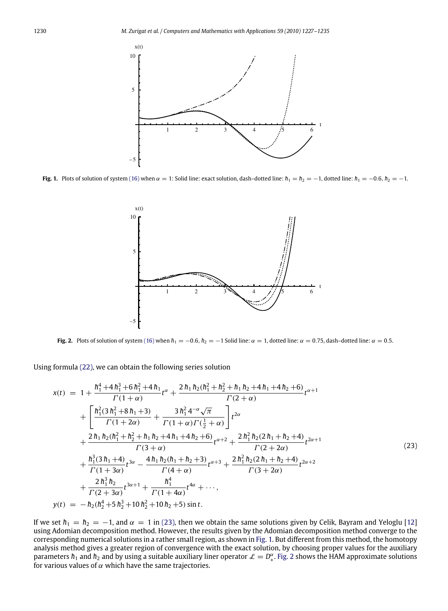<span id="page-3-1"></span>

<span id="page-3-2"></span>**Fig. 1.** Plots of solution of system [\(16\)](#page-2-1) when  $\alpha = 1$ : Solid line: exact solution, dash–dotted line:  $h_1 = h_2 = -1$ , dotted line:  $h_1 = -0.6$ ,  $h_2 = -1$ .

<span id="page-3-0"></span>

Fig. 2. Plots of solution of system [\(16\)](#page-2-1) when  $h_1 = -0.6$ ,  $h_2 = -1$  Solid line:  $\alpha = 1$ , dotted line:  $\alpha = 0.75$ , dash–dotted line:  $\alpha = 0.5$ .

Using formula [\(22\),](#page-2-2) we can obtain the following series solution

$$
x(t) = 1 + \frac{h_1^4 + 4h_1^3 + 6h_1^2 + 4h_1}{\Gamma(1+\alpha)} t^{\alpha} + \frac{2h_1h_2(h_1^2 + h_2^2 + h_1h_2 + 4h_1 + 4h_2 + 6)}{\Gamma(2+\alpha)} t^{\alpha+1} + \left[ \frac{h_1^2(3h_1^2 + 8h_1 + 3)}{\Gamma(1+2\alpha)} + \frac{3h_1^2 4^{-\alpha}\sqrt{\pi}}{\Gamma(1+\alpha)\Gamma(\frac{1}{2}+\alpha)} \right] t^{2\alpha} + \frac{2h_1h_2(h_1^2 + h_2^2 + h_1h_2 + 4h_1 + 4h_2 + 6)}{\Gamma(3+\alpha)} t^{\alpha+2} + \frac{2h_1^2h_2(2h_1 + h_2 + 4)}{\Gamma(2+2\alpha)} t^{2\alpha+1} + \frac{h_1^3(3h_1 + 4)}{\Gamma(1+3\alpha)} t^{3\alpha} - \frac{4h_1h_2(h_1 + h_2 + 3)}{\Gamma(4+\alpha)} t^{\alpha+3} + \frac{2h_1^2h_2(2h_1 + h_2 + 4)}{\Gamma(3+2\alpha)} t^{2\alpha+2} + \frac{2h_1^3h_2}{\Gamma(2+3\alpha)} t^{3\alpha+1} + \frac{h_1^4}{\Gamma(1+4\alpha)} t^{4\alpha} + \cdots, y(t) = -h_2(h_2^4 + 5h_2^3 + 10h_2^2 + 10h_2 + 5) \sin t.
$$
\n
$$
(23)
$$

If we set  $h_1 = h_2 = -1$ , and  $\alpha = 1$  in [\(23\),](#page-3-0) then we obtain the same solutions given by Celik, Bayram and Yeloglu [\[12\]](#page-8-4) using Adomian decomposition method. However, the results given by the Adomian decomposition method converge to the corresponding numerical solutions in a rather small region, as shown in [Fig. 1.](#page-3-1) But different from this method, the homotopy analysis method gives a greater region of convergence with the exact solution, by choosing proper values for the auxiliary parameters  $h_1$  and  $h_2$  and by using a suitable auxiliary liner operator  $\mathcal{L} = D^{\alpha}_*$ ∗ . [Fig. 2](#page-3-2) shows the HAM approximate solutions for various values of  $\alpha$  which have the same trajectories.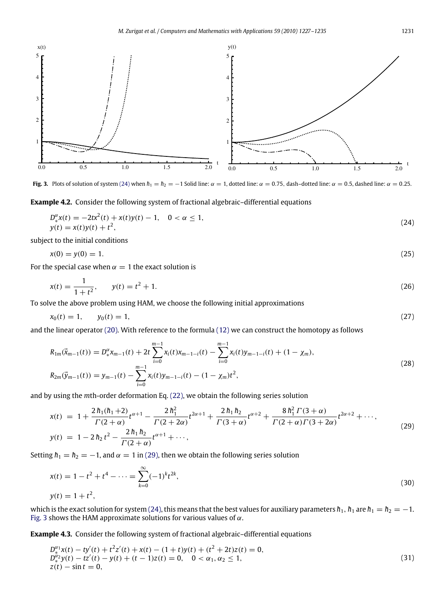<span id="page-4-2"></span>

**Fig. 3.** Plots of solution of system [\(24\)](#page-4-0) when  $h_1 = h_2 = -1$  Solid line:  $\alpha = 1$ , dotted line:  $\alpha = 0.75$ , dash–dotted line:  $\alpha = 0.5$ , dashed line:  $\alpha = 0.25$ .

**Example 4.2.** Consider the following system of fractional algebraic–differential equations

<span id="page-4-0"></span>
$$
D_{*}^{\alpha}x(t) = -2tx^{2}(t) + x(t)y(t) - 1, \quad 0 < \alpha \le 1,y(t) = x(t)y(t) + t^{2},
$$
\n(24)

subject to the initial conditions

$$
x(0) = y(0) = 1. \tag{25}
$$

For the special case when  $\alpha = 1$  the exact solution is

$$
x(t) = \frac{1}{1+t^2}, \qquad y(t) = t^2 + 1. \tag{26}
$$

To solve the above problem using HAM, we choose the following initial approximations

$$
x_0(t) = 1, \qquad y_0(t) = 1,\tag{27}
$$

and the linear operator [\(20\).](#page-2-3) With reference to the formula [\(12\)](#page-2-0) we can construct the homotopy as follows

$$
R_{1m}(\vec{x}_{m-1}(t)) = D_{*}^{\alpha} x_{m-1}(t) + 2t \sum_{i=0}^{m-1} x_{i}(t) x_{m-1-i}(t) - \sum_{i=0}^{m-1} x_{i}(t) y_{m-1-i}(t) + (1 - \chi_{m}),
$$
  
\n
$$
R_{2m}(\vec{y}_{m-1}(t)) = y_{m-1}(t) - \sum_{i=0}^{m-1} x_{i}(t) y_{m-1-i}(t) - (1 - \chi_{m}) t^{2},
$$
\n(28)

and by using the *m*th-order deformation Eq. [\(22\),](#page-2-2) we obtain the following series solution

<span id="page-4-1"></span>
$$
x(t) = 1 + \frac{2h_1(h_1+2)}{\Gamma(2+\alpha)}t^{\alpha+1} - \frac{2h_1^2}{\Gamma(2+2\alpha)}t^{2\alpha+1} + \frac{2h_1h_2}{\Gamma(3+\alpha)}t^{\alpha+2} + \frac{8h_1^2\Gamma(3+\alpha)}{\Gamma(2+\alpha)\Gamma(3+2\alpha)}t^{2\alpha+2} + \cdots,
$$
  
\n
$$
y(t) = 1 - 2h_2t^2 - \frac{2h_1h_2}{\Gamma(2+\alpha)}t^{\alpha+1} + \cdots,
$$
\n(29)

Setting  $h_1 = h_2 = -1$ , and  $\alpha = 1$  in [\(29\),](#page-4-1) then we obtain the following series solution

$$
x(t) = 1 - t2 + t4 - \dots = \sum_{k=0}^{\infty} (-1)^k t^{2k},
$$
  
\n
$$
y(t) = 1 + t2,
$$
\n(30)

which is the exact solution for system [\(24\),](#page-4-0) this means that the best values for auxiliary parameters  $h_1$ ,  $h_1$  are  $h_1 = h_2 = -1$ . [Fig. 3](#page-4-2) shows the HAM approximate solutions for various values of  $\alpha$ .

**Example 4.3.** Consider the following system of fractional algebraic–differential equations

<span id="page-4-3"></span>
$$
D_{\mathbf{x}}^{\alpha_1} \mathbf{x}(t) - t\mathbf{y}'(t) + t^2 \mathbf{z}'(t) + \mathbf{x}(t) - (1+t)\mathbf{y}(t) + (t^2 + 2t)\mathbf{z}(t) = 0, \nD_{\mathbf{x}}^{\alpha_2} \mathbf{y}(t) - t\mathbf{z}'(t) - \mathbf{y}(t) + (t - 1)\mathbf{z}(t) = 0, \quad 0 < \alpha_1, \alpha_2 \le 1, \n\mathbf{z}(t) - \sin t = 0,
$$
\n(31)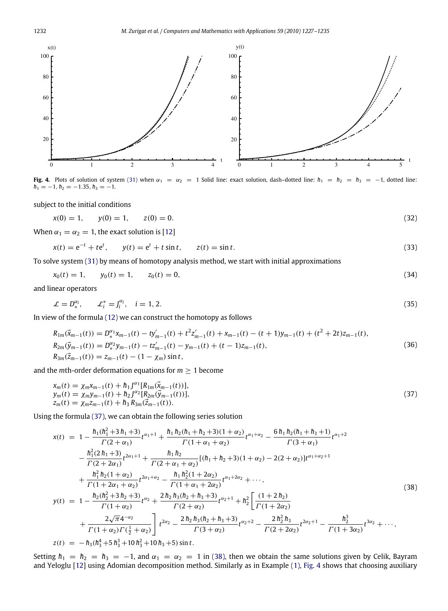<span id="page-5-2"></span>

**Fig. 4.** Plots of solution of system [\(31\)](#page-4-3) when  $\alpha_1 = \alpha_2 = 1$  Solid line: exact solution, dash–dotted line:  $h_1 = h_2 = h_3 = -1$ , dotted line:  $h_1 = -1, h_2 = -1.35, h_3 = -1.$ 

subject to the initial conditions

$$
x(0) = 1, \qquad y(0) = 1, \qquad z(0) = 0. \tag{32}
$$

When  $\alpha_1 = \alpha_2 = 1$ , the exact solution is [\[12\]](#page-8-4)

$$
x(t) = e^{-t} + te^{t}, \t y(t) = e^{t} + t \sin t, \t z(t) = \sin t.
$$
\t(33)

To solve system [\(31\)](#page-4-3) by means of homotopy analysis method, we start with initial approximations

$$
x_0(t) = 1, \t y_0(t) = 1, \t z_0(t) = 0,
$$
\t(34)

and linear operators

<span id="page-5-3"></span>
$$
\mathcal{L} = D_*^{\alpha_i}, \qquad \mathcal{L}_i^* = J_i^{\alpha_i}, \quad i = 1, 2. \tag{35}
$$

In view of the formula [\(12\)](#page-2-0) we can construct the homotopy as follows

$$
R_{1m}(\vec{x}_{m-1}(t)) = D_{*}^{\alpha_1} x_{m-1}(t) - t y'_{m-1}(t) + t^2 z'_{m-1}(t) + x_{m-1}(t) - (t+1) y_{m-1}(t) + (t^2+2t) z_{m-1}(t),
$$
  
\n
$$
R_{2m}(\vec{y}_{m-1}(t)) = D_{*}^{\alpha_2} y_{m-1}(t) - t z'_{m-1}(t) - y_{m-1}(t) + (t-1) z_{m-1}(t),
$$
  
\n
$$
R_{3m}(\vec{z}_{m-1}(t)) = z_{m-1}(t) - (1 - \chi_m) \sin t,
$$
\n(36)

and the *m*th-order deformation equations for  $m \geq 1$  become

<span id="page-5-0"></span>
$$
x_m(t) = \chi_m x_{m-1}(t) + h_1 J^{\alpha_1}[R_{1m}(\vec{x}_{m-1}(t))],
$$
  
\n
$$
y_m(t) = \chi_m y_{m-1}(t) + h_2 J^{\alpha_2}[R_{2m}(\vec{y}_{m-1}(t))],
$$
  
\n
$$
z_m(t) = \chi_m z_{m-1}(t) + h_3 R_{3m}(\vec{z}_{m-1}(t)).
$$
\n(37)

Using the formula [\(37\),](#page-5-0) we can obtain the following series solution

<span id="page-5-1"></span>
$$
x(t) = 1 - \frac{h_1(h_1^2 + 3h_1 + 3)}{\Gamma(2 + \alpha_1)} t^{\alpha_1 + 1} + \frac{h_1 h_2(h_1 + h_2 + 3)(1 + \alpha_2)}{\Gamma(1 + \alpha_1 + \alpha_2)} t^{\alpha_1 + \alpha_2} - \frac{6h_1 h_2(h_1 + h_3 + 1)}{\Gamma(3 + \alpha_1)} t^{\alpha_1 + 2}
$$
  
\n
$$
- \frac{h_1^2(2h_1 + 3)}{\Gamma(2 + 2\alpha_1)} t^{2\alpha_1 + 1} + \frac{h_1 h_2}{\Gamma(2 + \alpha_1 + \alpha_2)} [(h_1 + h_2 + 3)(1 + \alpha_2) - 2(2 + \alpha_2)] t^{\alpha_1 + \alpha_2 + 1}
$$
  
\n
$$
+ \frac{h_1^2 h_2(1 + \alpha_2)}{\Gamma(1 + 2\alpha_1 + \alpha_2)} t^{2\alpha_1 + \alpha_2} - \frac{h_1 h_2^2(1 + 2\alpha_2)}{\Gamma(1 + \alpha_1 + 2\alpha_2)} t^{\alpha_1 + 2\alpha_2} + \cdots,
$$
  
\n
$$
y(t) = 1 - \frac{h_2(h_2^2 + 3h_2 + 3)}{\Gamma(1 + \alpha_2)} t^{\alpha_2} + \frac{2h_2 h_3(h_2 + h_3 + 3)}{\Gamma(2 + \alpha_2)} t^{\alpha_2 + 1} + h_2^2 \left[ \frac{(1 + 2h_2)}{\Gamma(1 + 2\alpha_2)} + \frac{2\sqrt{\pi}4^{-\alpha_2}}{\Gamma(1 + \alpha_2)\Gamma(\frac{1}{2} + \alpha_2)} \right] t^{2\alpha_2} - \frac{2h_2 h_3(h_2 + h_3 + 3)}{\Gamma(3 + \alpha_2)} t^{\alpha_2 + 2} - \frac{2h_2^2 h_3}{\Gamma(2 + 2\alpha_2)} t^{2\alpha_2 + 1} - \frac{h_2^3}{\Gamma(1 + 3\alpha_2)} t^{3\alpha_2} + \cdots,
$$
  
\n
$$
z(t) = -h_3(h_3^4 + 5h_3^3 + 10h_3^2 + 10h_3 + 5) \sin t.
$$
  
\n(38)

Setting  $h_1 = h_2 = h_3 = -1$ , and  $\alpha_1 = \alpha_2 = 1$  in [\(38\),](#page-5-1) then we obtain the same solutions given by Celik, Bayram and Yeloglu [\[12\]](#page-8-4) using Adomian decomposition method. Similarly as in Example [\(1\),](#page-1-3) [Fig. 4](#page-5-2) shows that choosing auxiliary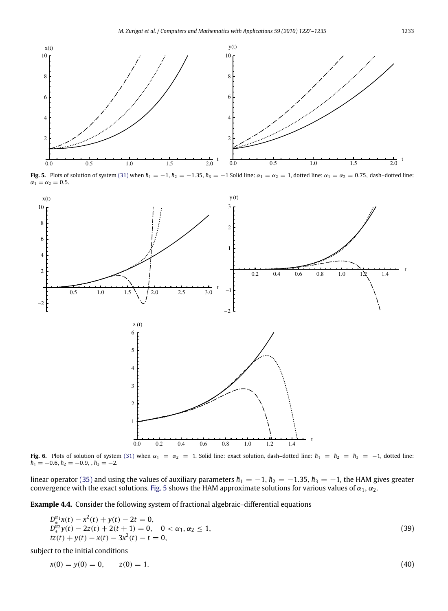<span id="page-6-0"></span>

Fig. 5. Plots of solution of system [\(31\)](#page-4-3) when  $h_1 = -1$ ,  $h_2 = -1.35$ ,  $h_3 = -1$  Solid line:  $\alpha_1 = \alpha_2 = 1$ , dotted line:  $\alpha_1 = \alpha_2 = 0.75$ , dash-dotted line:  $\alpha_1 = \alpha_2 = 0.5$ .

<span id="page-6-1"></span>

**Fig. 6.** Plots of solution of system [\(31\)](#page-4-3) when  $\alpha_1 = \alpha_2 = 1$ . Solid line: exact solution, dash–dotted line:  $h_1 = h_2 = h_3 = -1$ , dotted line:  $h_1 = -0.6, h_2 = -0.9, h_3 = -2.$ 

linear operator [\(35\)](#page-5-3) and using the values of auxiliary parameters  $h_1 = -1$ ,  $h_2 = -1.35$ ,  $h_3 = -1$ , the HAM gives greater convergence with the exact solutions. [Fig. 5](#page-6-0) shows the HAM approximate solutions for various values

**Example 4.4.** Consider the following system of fractional algebraic–differential equations

$$
D_4^{\alpha_1}x(t) - x^2(t) + y(t) - 2t = 0,
$$
  
\n
$$
D_4^{\alpha_2}y(t) - 2z(t) + 2(t+1) = 0, \quad 0 < \alpha_1, \alpha_2 \le 1,
$$
  
\n
$$
tz(t) + y(t) - x(t) - 3x^2(t) - t = 0,
$$
\n(39)

subject to the initial conditions

$$
x(0) = y(0) = 0, \qquad z(0) = 1. \tag{40}
$$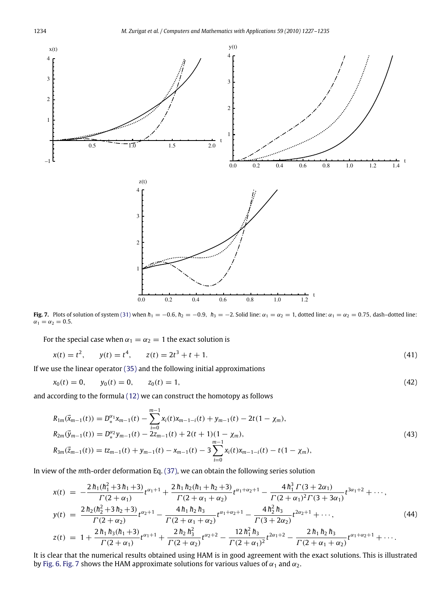<span id="page-7-0"></span>

**Fig. 7.** Plots of solution of system [\(31\)](#page-4-3) when  $h_1 = -0.6$ ,  $h_2 = -0.9$ ,  $h_3 = -2$ . Solid line:  $\alpha_1 = \alpha_2 = 1$ , dotted line:  $\alpha_1 = \alpha_2 = 0.75$ , dash-dotted line:  $\alpha_1 = \alpha_2 = 0.5.$ 

For the special case when  $\alpha_1 = \alpha_2 = 1$  the exact solution is

$$
x(t) = t^2, \qquad y(t) = t^4, \qquad z(t) = 2t^3 + t + 1. \tag{41}
$$

If we use the linear operator [\(35\)](#page-5-3) and the following initial approximations

$$
x_0(t) = 0, \qquad y_0(t) = 0, \qquad z_0(t) = 1,\tag{42}
$$

and according to the formula [\(12\)](#page-2-0) we can construct the homotopy as follows

$$
R_{1m}(\vec{x}_{m-1}(t)) = D_{*}^{\alpha_{1}} x_{m-1}(t) - \sum_{i=0}^{m-1} x_{i}(t)x_{m-1-i}(t) + y_{m-1}(t) - 2t(1 - \chi_{m}),
$$
  
\n
$$
R_{2m}(\vec{y}_{m-1}(t)) = D_{*}^{\alpha_{2}} y_{m-1}(t) - 2z_{m-1}(t) + 2(t+1)(1 - \chi_{m}),
$$
  
\n
$$
R_{3m}(\vec{z}_{m-1}(t)) = tz_{m-1}(t) + y_{m-1}(t) - x_{m-1}(t) - 3\sum_{i=0}^{m-1} x_{i}(t)x_{m-1-i}(t) - t(1 - \chi_{m}),
$$
\n(43)

In view of the *m*th-order deformation Eq. [\(37\),](#page-5-0) we can obtain the following series solution

$$
x(t) = -\frac{2h_1(h_1^2 + 3h_1 + 3)}{\Gamma(2 + \alpha_1)} t^{\alpha_1 + 1} + \frac{2h_1h_2(h_1 + h_2 + 3)}{\Gamma(2 + \alpha_1 + \alpha_2)} t^{\alpha_1 + \alpha_2 + 1} - \frac{4h_1^3 \Gamma(3 + 2\alpha_1)}{\Gamma(2 + \alpha_1)^2 \Gamma(3 + 3\alpha_1)} t^{3\alpha_1 + 2} + \cdots,
$$
  
\n
$$
y(t) = \frac{2h_2(h_2^2 + 3h_2 + 3)}{\Gamma(2 + \alpha_2)} t^{\alpha_2 + 1} - \frac{4h_1h_2h_3}{\Gamma(2 + \alpha_1 + \alpha_2)} t^{\alpha_1 + \alpha_2 + 1} - \frac{4h_2^2h_3}{\Gamma(3 + 2\alpha_2)} t^{2\alpha_2 + 1} + \cdots,
$$
  
\n
$$
z(t) = 1 + \frac{2h_1h_3(h_1 + 3)}{\Gamma(2 + \alpha_1)} t^{\alpha_1 + 1} + \frac{2h_2h_3^2}{\Gamma(2 + \alpha_2)} t^{\alpha_2 + 2} - \frac{12h_1^2h_3}{\Gamma(2 + \alpha_1)^2} t^{2\alpha_1 + 2} - \frac{2h_1h_2h_3}{\Gamma(2 + \alpha_1 + \alpha_2)} t^{\alpha_1 + \alpha_2 + 1} + \cdots.
$$
  
\n(44)

It is clear that the numerical results obtained using HAM is in good agreement with the exact solutions. This is illustrated by [Fig. 6.](#page-6-1) [Fig. 7](#page-7-0) shows the HAM approximate solutions for various values of  $\alpha_1$  and  $\alpha_2$ .